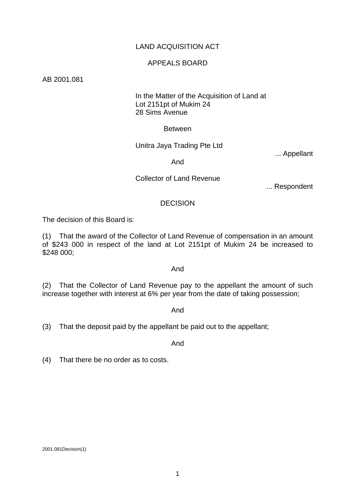# LAND ACQUISITION ACT

# APPEALS BOARD

AB 2001.081

## In the Matter of the Acquisition of Land at Lot 2151pt of Mukim 24 28 Sims Avenue

## Between

# Unitra Jaya Trading Pte Ltd

... Appellant

And

## Collector of Land Revenue

... Respondent

## **DECISION**

The decision of this Board is:

(1) That the award of the Collector of Land Revenue of compensation in an amount of \$243 000 in respect of the land at Lot 2151pt of Mukim 24 be increased to \$248 000;

### And

(2) That the Collector of Land Revenue pay to the appellant the amount of such increase together with interest at 6% per year from the date of taking possession;

#### And

(3) That the deposit paid by the appellant be paid out to the appellant;

And

(4) That there be no order as to costs.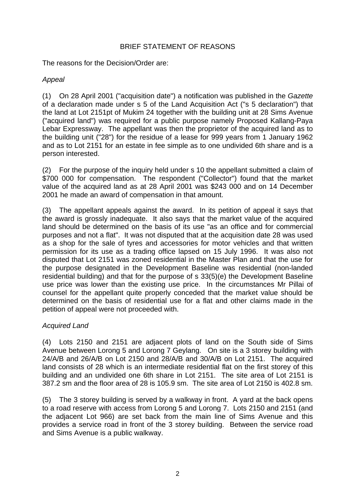# BRIEF STATEMENT OF REASONS

The reasons for the Decision/Order are:

# *Appeal*

(1) On 28 April 2001 ("acquisition date") a notification was published in the *Gazette* of a declaration made under s 5 of the Land Acquisition Act ("s 5 declaration") that the land at Lot 2151pt of Mukim 24 together with the building unit at 28 Sims Avenue ("acquired land") was required for a public purpose namely Proposed Kallang-Paya Lebar Expressway. The appellant was then the proprietor of the acquired land as to the building unit ("28") for the residue of a lease for 999 years from 1 January 1962 and as to Lot 2151 for an estate in fee simple as to one undivided 6th share and is a person interested.

(2) For the purpose of the inquiry held under s 10 the appellant submitted a claim of \$700 000 for compensation. The respondent ("Collector") found that the market value of the acquired land as at 28 April 2001 was \$243 000 and on 14 December 2001 he made an award of compensation in that amount.

(3) The appellant appeals against the award. In its petition of appeal it says that the award is grossly inadequate. It also says that the market value of the acquired land should be determined on the basis of its use "as an office and for commercial purposes and not a flat". It was not disputed that at the acquisition date 28 was used as a shop for the sale of tyres and accessories for motor vehicles and that written permission for its use as a trading office lapsed on 15 July 1996. It was also not disputed that Lot 2151 was zoned residential in the Master Plan and that the use for the purpose designated in the Development Baseline was residential (non-landed residential building) and that for the purpose of s 33(5)(e) the Development Baseline use price was lower than the existing use price. In the circumstances Mr Pillai of counsel for the appellant quite properly conceded that the market value should be determined on the basis of residential use for a flat and other claims made in the petition of appeal were not proceeded with.

# *Acquired Land*

(4) Lots 2150 and 2151 are adjacent plots of land on the South side of Sims Avenue between Lorong 5 and Lorong 7 Geylang. On site is a 3 storey building with 24/A/B and 26/A/B on Lot 2150 and 28/A/B and 30/A/B on Lot 2151. The acquired land consists of 28 which is an intermediate residential flat on the first storey of this building and an undivided one 6th share in Lot 2151. The site area of Lot 2151 is 387.2 sm and the floor area of 28 is 105.9 sm. The site area of Lot 2150 is 402.8 sm.

(5) The 3 storey building is served by a walkway in front. A yard at the back opens to a road reserve with access from Lorong 5 and Lorong 7. Lots 2150 and 2151 (and the adjacent Lot 966) are set back from the main line of Sims Avenue and this provides a service road in front of the 3 storey building. Between the service road and Sims Avenue is a public walkway.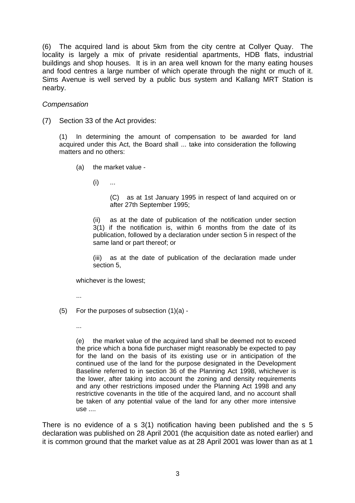(6) The acquired land is about 5km from the city centre at Collyer Quay. The locality is largely a mix of private residential apartments, HDB flats, industrial buildings and shop houses. It is in an area well known for the many eating houses and food centres a large number of which operate through the night or much of it. Sims Avenue is well served by a public bus system and Kallang MRT Station is nearby.

## *Compensation*

(7) Section 33 of the Act provides:

(1) In determining the amount of compensation to be awarded for land acquired under this Act, the Board shall ... take into consideration the following matters and no others:

- (a) the market value
	- $(i)$  ...

(C) as at 1st January 1995 in respect of land acquired on or after 27th September 1995;

(ii) as at the date of publication of the notification under section 3(1) if the notification is, within 6 months from the date of its publication, followed by a declaration under section 5 in respect of the same land or part thereof; or

(iii) as at the date of publication of the declaration made under section 5,

whichever is the lowest;

- ...
- (5) For the purposes of subsection (1)(a)
	- ...

(e) the market value of the acquired land shall be deemed not to exceed the price which a bona fide purchaser might reasonably be expected to pay for the land on the basis of its existing use or in anticipation of the continued use of the land for the purpose designated in the Development Baseline referred to in section 36 of the Planning Act 1998, whichever is the lower, after taking into account the zoning and density requirements and any other restrictions imposed under the Planning Act 1998 and any restrictive covenants in the title of the acquired land, and no account shall be taken of any potential value of the land for any other more intensive use ....

There is no evidence of a s 3(1) notification having been published and the s 5 declaration was published on 28 April 2001 (the acquisition date as noted earlier) and it is common ground that the market value as at 28 April 2001 was lower than as at 1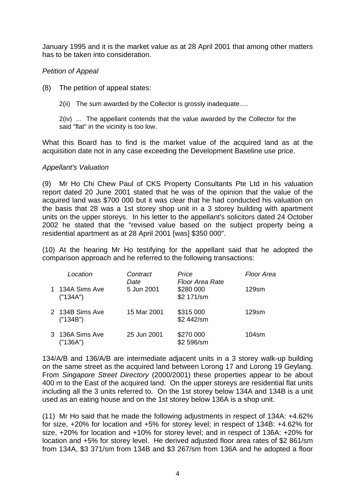January 1995 and it is the market value as at 28 April 2001 that among other matters has to be taken into consideration.

# *Petition of Appeal*

- (8) The petition of appeal states:
	- 2(ii) The sum awarded by the Collector is grossly inadequate….

2(iv) ... The appellant contends that the value awarded by the Collector for the said "flat" in the vicinity is too low.

What this Board has to find is the market value of the acquired land as at the acquisition date not in any case exceeding the Development Baseline use price.

# *Appellant's Valuation*

(9) Mr Ho Chi Chew Paul of CKS Property Consultants Pte Ltd in his valuation report dated 20 June 2001 stated that he was of the opinion that the value of the acquired land was \$700 000 but it was clear that he had conducted his valuation on the basis that 28 was a 1st storey shop unit in a 3 storey building with apartment units on the upper storeys. In his letter to the appellant's solicitors dated 24 October 2002 he stated that the "revised value based on the subject property being a residential apartment as at 28 April 2001 [was] \$350 000".

(10) At the hearing Mr Ho testifying for the appellant said that he adopted the comparison approach and he referred to the following transactions:

| Location                    | Contract<br>Date | Price<br>Floor Area Rate | Floor Area |
|-----------------------------|------------------|--------------------------|------------|
| 1 134A Sims Ave<br>("134A") | 5 Jun 2001       | \$280 000<br>\$2 171/sm  | $129$ sm   |
| 2 134B Sims Ave<br>("134B") | 15 Mar 2001      | \$315 000<br>\$2 442/sm  | 129sm      |
| 3 136A Sims Ave<br>("136A") | 25 Jun 2001      | \$270 000<br>\$2 596/sm  | 104sm      |

134/A/B and 136/A/B are intermediate adjacent units in a 3 storey walk-up building on the same street as the acquired land between Lorong 17 and Lorong 19 Geylang. From *Singapore Street Directory* (2000/2001) these properties appear to be about 400 m to the East of the acquired land. On the upper storeys are residential flat units including all the 3 units referred to. On the 1st storey below 134A and 134B is a unit used as an eating house and on the 1st storey below 136A is a shop unit.

(11) Mr Ho said that he made the following adjustments in respect of 134A: +4.62% for size, +20% for location and +5% for storey level; in respect of 134B: +4.62% for size, +20% for location and +10% for storey level; and in respect of 136A: +20% for location and +5% for storey level. He derived adjusted floor area rates of \$2 861/sm from 134A, \$3 371/sm from 134B and \$3 267/sm from 136A and he adopted a floor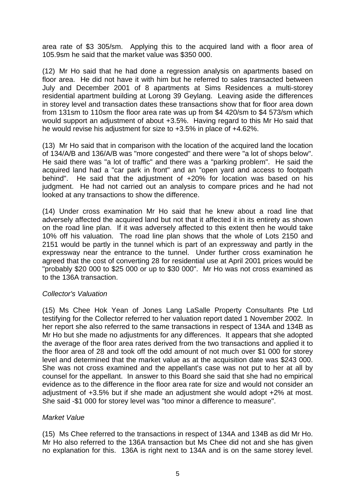area rate of \$3 305/sm. Applying this to the acquired land with a floor area of 105.9sm he said that the market value was \$350 000.

(12) Mr Ho said that he had done a regression analysis on apartments based on floor area. He did not have it with him but he referred to sales transacted between July and December 2001 of 8 apartments at Sims Residences a multi-storey residential apartment building at Lorong 39 Geylang. Leaving aside the differences in storey level and transaction dates these transactions show that for floor area down from 131sm to 110sm the floor area rate was up from \$4 420/sm to \$4 573/sm which would support an adjustment of about +3.5%. Having regard to this Mr Ho said that he would revise his adjustment for size to +3.5% in place of +4.62%.

(13) Mr Ho said that in comparison with the location of the acquired land the location of 134/A/B and 136/A/B was "more congested" and there were "a lot of shops below". He said there was "a lot of traffic" and there was a "parking problem". He said the acquired land had a "car park in front" and an "open yard and access to footpath behind". He said that the adjustment of +20% for location was based on his judgment. He had not carried out an analysis to compare prices and he had not looked at any transactions to show the difference.

(14) Under cross examination Mr Ho said that he knew about a road line that adversely affected the acquired land but not that it affected it in its entirety as shown on the road line plan. If it was adversely affected to this extent then he would take 10% off his valuation. The road line plan shows that the whole of Lots 2150 and 2151 would be partly in the tunnel which is part of an expressway and partly in the expressway near the entrance to the tunnel. Under further cross examination he agreed that the cost of converting 28 for residential use at April 2001 prices would be "probably \$20 000 to \$25 000 or up to \$30 000". Mr Ho was not cross examined as to the 136A transaction.

# *Collector's Valuation*

(15) Ms Chee Hok Yean of Jones Lang LaSalle Property Consultants Pte Ltd testifying for the Collector referred to her valuation report dated 1 November 2002. In her report she also referred to the same transactions in respect of 134A and 134B as Mr Ho but she made no adjustments for any differences. It appears that she adopted the average of the floor area rates derived from the two transactions and applied it to the floor area of 28 and took off the odd amount of not much over \$1 000 for storey level and determined that the market value as at the acquisition date was \$243 000. She was not cross examined and the appellant's case was not put to her at all by counsel for the appellant. In answer to this Board she said that she had no empirical evidence as to the difference in the floor area rate for size and would not consider an adjustment of +3.5% but if she made an adjustment she would adopt +2% at most. She said -\$1 000 for storey level was "too minor a difference to measure".

# *Market Value*

(15) Ms Chee referred to the transactions in respect of 134A and 134B as did Mr Ho. Mr Ho also referred to the 136A transaction but Ms Chee did not and she has given no explanation for this. 136A is right next to 134A and is on the same storey level.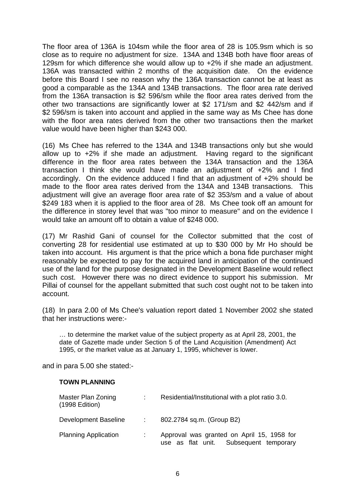The floor area of 136A is 104sm while the floor area of 28 is 105.9sm which is so close as to require no adjustment for size. 134A and 134B both have floor areas of 129sm for which difference she would allow up to +2% if she made an adjustment. 136A was transacted within 2 months of the acquisition date. On the evidence before this Board I see no reason why the 136A transaction cannot be at least as good a comparable as the 134A and 134B transactions. The floor area rate derived from the 136A transaction is \$2 596/sm while the floor area rates derived from the other two transactions are significantly lower at \$2 171/sm and \$2 442/sm and if \$2 596/sm is taken into account and applied in the same way as Ms Chee has done with the floor area rates derived from the other two transactions then the market value would have been higher than \$243 000.

(16) Ms Chee has referred to the 134A and 134B transactions only but she would allow up to +2% if she made an adjustment. Having regard to the significant difference in the floor area rates between the 134A transaction and the 136A transaction I think she would have made an adjustment of +2% and I find accordingly. On the evidence adduced I find that an adjustment of +2% should be made to the floor area rates derived from the 134A and 134B transactions. This adjustment will give an average floor area rate of \$2 353/sm and a value of about \$249 183 when it is applied to the floor area of 28. Ms Chee took off an amount for the difference in storey level that was "too minor to measure" and on the evidence I would take an amount off to obtain a value of \$248 000.

(17) Mr Rashid Gani of counsel for the Collector submitted that the cost of converting 28 for residential use estimated at up to \$30 000 by Mr Ho should be taken into account. His argument is that the price which a bona fide purchaser might reasonably be expected to pay for the acquired land in anticipation of the continued use of the land for the purpose designated in the Development Baseline would reflect such cost. However there was no direct evidence to support his submission. Mr Pillai of counsel for the appellant submitted that such cost ought not to be taken into account.

(18) In para 2.00 of Ms Chee's valuation report dated 1 November 2002 she stated that her instructions were:-

… to determine the market value of the subject property as at April 28, 2001, the date of Gazette made under Section 5 of the Land Acquisition (Amendment) Act 1995, or the market value as at January 1, 1995, whichever is lower.

and in para 5.00 she stated:-

#### **TOWN PLANNING**

| Master Plan Zoning<br>$(1998$ Edition) | Residential/Institutional with a plot ratio 3.0.                                     |
|----------------------------------------|--------------------------------------------------------------------------------------|
| Development Baseline                   | 802.2784 sq.m. (Group B2)                                                            |
| <b>Planning Application</b>            | Approval was granted on April 15, 1958 for<br>use as flat unit. Subsequent temporary |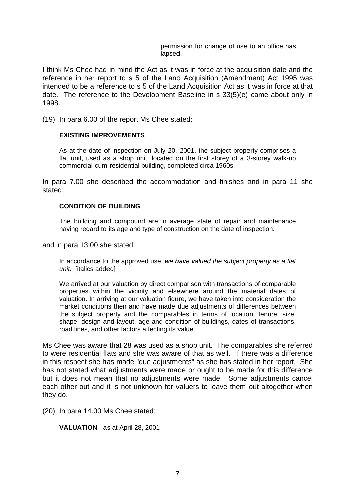permission for change of use to an office has lapsed.

I think Ms Chee had in mind the Act as it was in force at the acquisition date and the reference in her report to s 5 of the Land Acquisition (Amendment) Act 1995 was intended to be a reference to s 5 of the Land Acquisition Act as it was in force at that date. The reference to the Development Baseline in s 33(5)(e) came about only in 1998.

(19) In para 6.00 of the report Ms Chee stated:

#### **EXISTING IMPROVEMENTS**

As at the date of inspection on July 20, 2001, the subject property comprises a flat unit, used as a shop unit, located on the first storey of a 3-storey walk-up commercial-cum-residential building, completed circa 1960s.

In para 7.00 she described the accommodation and finishes and in para 11 she stated:

#### **CONDITION OF BUILDING**

The building and compound are in average state of repair and maintenance having regard to its age and type of construction on the date of inspection.

and in para 13.00 she stated:

In accordance to the approved use, *we have valued the subject property as a flat unit.* [italics added]

We arrived at our valuation by direct comparison with transactions of comparable properties within the vicinity and elsewhere around the material dates of valuation. In arriving at our valuation figure, we have taken into consideration the market conditions then and have made due adjustments of differences between the subject property and the comparables in terms of location, tenure, size, shape, design and layout, age and condition of buildings, dates of transactions, road lines, and other factors affecting its value.

Ms Chee was aware that 28 was used as a shop unit. The comparables she referred to were residential flats and she was aware of that as well. If there was a difference in this respect she has made "due adjustments" as she has stated in her report. She has not stated what adjustments were made or ought to be made for this difference but it does not mean that no adjustments were made. Some adjustments cancel each other out and it is not unknown for valuers to leave them out altogether when they do.

(20) In para 14.00 Ms Chee stated:

**VALUATION** - as at April 28, 2001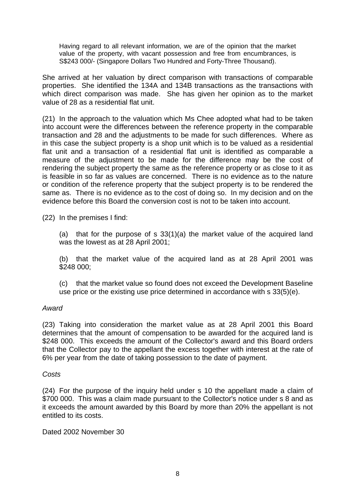Having regard to all relevant information, we are of the opinion that the market value of the property, with vacant possession and free from encumbrances, is S\$243 000/- (Singapore Dollars Two Hundred and Forty-Three Thousand).

She arrived at her valuation by direct comparison with transactions of comparable properties. She identified the 134A and 134B transactions as the transactions with which direct comparison was made. She has given her opinion as to the market value of 28 as a residential flat unit.

(21) In the approach to the valuation which Ms Chee adopted what had to be taken into account were the differences between the reference property in the comparable transaction and 28 and the adjustments to be made for such differences. Where as in this case the subject property is a shop unit which is to be valued as a residential flat unit and a transaction of a residential flat unit is identified as comparable a measure of the adjustment to be made for the difference may be the cost of rendering the subject property the same as the reference property or as close to it as is feasible in so far as values are concerned. There is no evidence as to the nature or condition of the reference property that the subject property is to be rendered the same as. There is no evidence as to the cost of doing so. In my decision and on the evidence before this Board the conversion cost is not to be taken into account.

(22) In the premises I find:

(a) that for the purpose of s 33(1)(a) the market value of the acquired land was the lowest as at 28 April 2001;

(b) that the market value of the acquired land as at 28 April 2001 was \$248 000;

(c) that the market value so found does not exceed the Development Baseline use price or the existing use price determined in accordance with s 33(5)(e).

# *Award*

(23) Taking into consideration the market value as at 28 April 2001 this Board determines that the amount of compensation to be awarded for the acquired land is \$248 000. This exceeds the amount of the Collector's award and this Board orders that the Collector pay to the appellant the excess together with interest at the rate of 6% per year from the date of taking possession to the date of payment.

#### *Costs*

(24) For the purpose of the inquiry held under s 10 the appellant made a claim of \$700 000. This was a claim made pursuant to the Collector's notice under s 8 and as it exceeds the amount awarded by this Board by more than 20% the appellant is not entitled to its costs.

Dated 2002 November 30